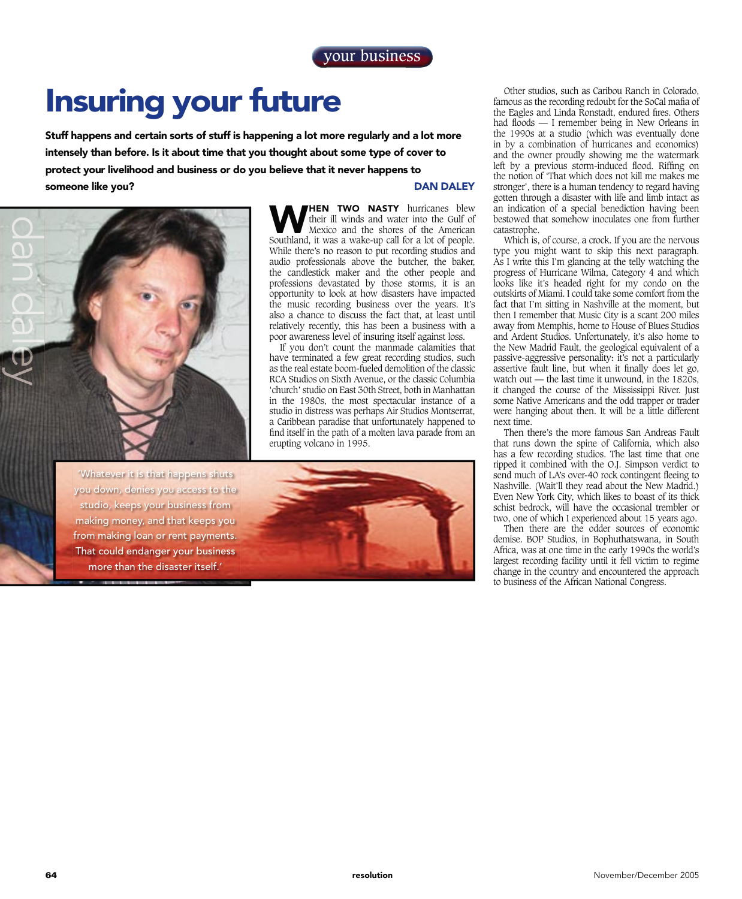## Insuring your future

Stuff happens and certain sorts of stuff is happening a lot more regularly and a lot more intensely than before. Is it about time that you thought about some type of cover to protect your livelihood and business or do you believe that it never happens to someone like you? DAN DALEY



'Whatever it is that happens shuts you down, denies you access to the studio, keeps your business from making money, and that keeps you from making loan or rent payments. That could endanger your business more than the disaster itself.'

**HEN TWO NASTY** hurricanes blew their ill winds and water into the Gulf of Mexico and the shores of the American Southland, it was a wake-up call for a lot of people. While there's no reason to put recording studios and audio professionals above the butcher, the baker, the candlestick maker and the other people and professions devastated by those storms, it is an opportunity to look at how disasters have impacted the music recording business over the years. It's also a chance to discuss the fact that, at least until relatively recently, this has been a business with a poor awareness level of insuring itself against loss.

If you don't count the manmade calamities that have terminated a few great recording studios, such as the real estate boom-fueled demolition of the classic RCA Studios on Sixth Avenue, or the classic Columbia 'church' studio on East 30th Street, both in Manhattan in the 1980s, the most spectacular instance of a studio in distress was perhaps Air Studios Montserrat, a Caribbean paradise that unfortunately happened to find itself in the path of a molten lava parade from an erupting volcano in 1995.



Other studios, such as Caribou Ranch in Colorado, famous as the recording redoubt for the SoCal mafia of the Eagles and Linda Ronstadt, endured fires. Others had floods  $-1$  remember being in New Orleans in the 1990s at a studio (which was eventually done in by a combination of hurricanes and economics) and the owner proudly showing me the watermark left by a previous storm-induced flood. Riffing on the notion of 'That which does not kill me makes me stronger', there is a human tendency to regard having gotten through a disaster with life and limb intact as an indication of a special benediction having been bestowed that somehow inoculates one from further catastrophe.

Which is, of course, a crock. If you are the nervous type you might want to skip this next paragraph. As I write this I'm glancing at the telly watching the progress of Hurricane Wilma, Category 4 and which looks like it's headed right for my condo on the outskirts of Miami. I could take some comfort from the fact that I'm sitting in Nashville at the moment, but then I remember that Music City is a scant 200 miles away from Memphis, home to House of Blues Studios and Ardent Studios. Unfortunately, it's also home to the New Madrid Fault, the geological equivalent of a passive-aggressive personality: it's not a particularly assertive fault line, but when it finally does let go, watch out — the last time it unwound, in the 1820s, it changed the course of the Mississippi River. Just some Native Americans and the odd trapper or trader were hanging about then. It will be a little different next time.

Then there's the more famous San Andreas Fault that runs down the spine of California, which also has a few recording studios. The last time that one ripped it combined with the O.J. Simpson verdict to send much of LA's over-40 rock contingent fleeing to Nashville. (Wait'll they read about the New Madrid.) Even New York City, which likes to boast of its thick schist bedrock, will have the occasional trembler or two, one of which I experienced about 15 years ago.

Then there are the odder sources of economic demise. BOP Studios, in Bophuthatswana, in South Africa, was at one time in the early 1990s the world's largest recording facility until it fell victim to regime change in the country and encountered the approach to business of the African National Congress.